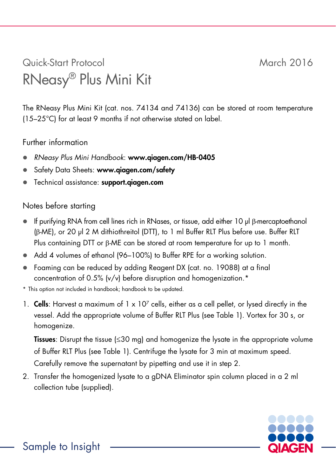## Quick-Start Protocol March 2016 RNeasy® Plus Mini Kit

The RNeasy Plus Mini Kit (cat. nos. 74134 and 74136) can be stored at room temperature (15–25°C) for at least 9 months if not otherwise stated on label.

## Further information

- *RNeasy Plus Mini Handbook*: www.qiagen.com/HB-0405
- Safety Data Sheets: www.qiagen.com/safety
- Technical assistance: support.qiagen.com

## Notes before starting

- If purifying RNA from cell lines rich in RNases, or tissue, add either 10 µl β-mercaptoethanol (β-ME), or 20 µl 2 M dithiothreitol (DTT), to 1 ml Buffer RLT Plus before use. Buffer RLT Plus containing DTT or β-ME can be stored at room temperature for up to 1 month.
- Add 4 volumes of ethanol (96–100%) to Buffer RPE for a working solution.
- Foaming can be reduced by adding Reagent DX (cat. no. 19088) at a final concentration of 0.5% (v/v) before disruption and homogenization.\*
- \* This option not included in handbook; handbook to be updated.
- 1. Cells: Harvest a maximum of  $1 \times 10^7$  cells, either as a cell pellet, or lysed directly in the vessel. Add the appropriate volume of Buffer RLT Plus (see Table 1). Vortex for 30 s, or homogenize.

Tissues: Disrupt the tissue (≤30 mg) and homogenize the lysate in the appropriate volume of Buffer RLT Plus (see Table 1). Centrifuge the lysate for 3 min at maximum speed. Carefully remove the supernatant by pipetting and use it in step 2.

2. Transfer the homogenized lysate to a gDNA Eliminator spin column placed in a 2 ml collection tube (supplied).